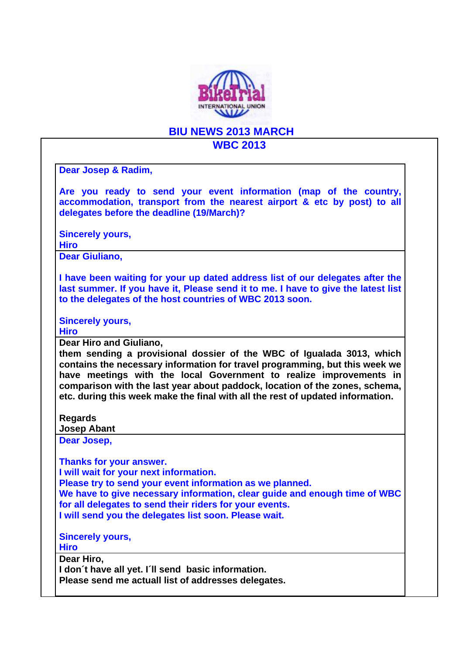

## **BIU NEWS 2013 MARCH**

## **WBC 2013**

**Dear Josep & Radim,** 

**Are you ready to send your event information (map of the country, accommodation, transport from the nearest airport & etc by post) to all delegates before the deadline (19/March)?** 

**Sincerely yours,** 

**Hiro** 

**Dear Giuliano,** 

**I have been waiting for your up dated address list of our delegates after the last summer. If you have it, Please send it to me. I have to give the latest list to the delegates of the host countries of WBC 2013 soon.** 

**Sincerely yours,** 

**Hiro** 

**Dear Hiro and Giuliano,** 

**them sending a provisional dossier of the WBC of Igualada 3013, which contains the necessary information for travel programming, but this week we have meetings with the local Government to realize improvements in comparison with the last year about paddock, location of the zones, schema, etc. during this week make the final with all the rest of updated information.** 

**Regards** 

**Josep Abant** 

**Dear Josep,** 

**Thanks for your answer.** 

**I will wait for your next information.** 

**Please try to send your event information as we planned.** 

**We have to give necessary information, clear guide and enough time of WBC for all delegates to send their riders for your events.** 

**I will send you the delegates list soon. Please wait.** 

**Sincerely yours,** 

**Hiro** 

**Dear Hiro,** 

**I don´t have all yet. I´ll send basic information.** 

**Please send me actuall list of addresses delegates.**